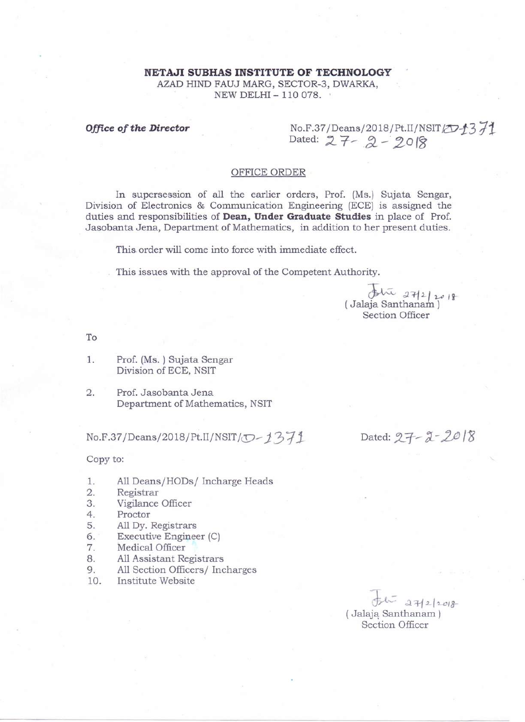AZAD HIND FAUJ MARG, SECTOR-3, DWARKA, NEW DELHI- 110078.

**Office of the Director** No.F.37/Deans/2018/Pt.II/NSIT Dated: 27-2-2018

## OFFICE ORDER

In supersession of all the earlier orders, Prof. (Ms.) Sujata Sengar, Division of Electronics & Communication Engineering (ECE) is assigned the duties and responsibilities of **Dean, Under Graduate Studies** in place of Prof. Jasobanta Jena, Department of Mathematics, in addition to her present duties.

This order will come into force with immediate effect.

This issues with the approval of the Competent Authority.

 $#$ <sup>111</sup>  $27|201$ (Jalaja Santhanam ) Section Officer

To

1. Prof. (Ms.) Sujata Sengar Division of ECE, NSIT

2. Prof. Jasobanta Jena Department of Mathematics, NSIT

No.F.37/Deans/2018/Pt.II/NSIT/ $\overline{O}$ -1371

Dated:  $27 - 2 - 2018$ 

Copy to:

- 1. All Deans/HODs/ Incharge Heads
- 2. Registrar
- 3. Vigilance Officer
- 4. Proctor
- 5. All Dy. Registrars
- 6. . Executive Engineer (C)
- 7. Medical Officer
- 8. AllAssistant Registrars
- 9. All Section Officers/ Incharges
- 10. Institute Website

*~ ci1-j2-/2-CI8-* (.Jalaja Santhanam ) Section Officer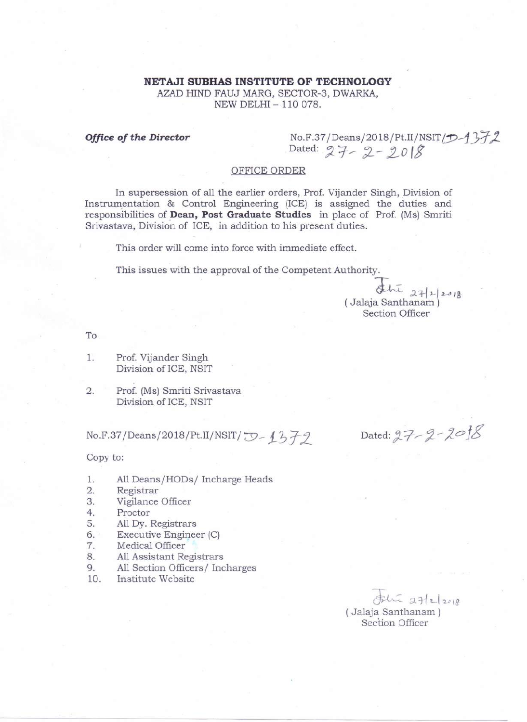AZAD HIND FAUJ MARG, SECTOR-3, DWARKA, NEW DELHI- 110078.

*Office of the Director* No.F.37/Deans/2018/Pt.II/NSIT/D-1<br>Dated:  $27 - 2 - 2018$ 

# OFFICE ORDER

In supersession of all the earlier orders, Prof. Vijander Singh, Division of Instrumentation & Control Engineering (ICE) is assigned the duties and responsibilities of Dean, **Post Graduate Studies** in place of Prof. (Ms) Smriti Srivastava, Division of ICE, in addition to his present duties.

This order will come into force with immediate effect.

This issues with the approval of the Competent Authority.

 $5\sqrt{2}$   $27|2018$ (Jalaja Santhanam) Section Officer

To

- 1. Prof. Vijander Singh Division of ICE, NSIT
- 2. Prof. (Ms) Smriti Srivastava Division of ICE, NSIT

No.F.37/Deans/2018/Pt.II/NSIT/  $J$ -1379

Dated: 27-2-20<sup>18</sup>

## Copy to:

- 1. All Deans/HODs/ Incharge Heads
- 2. Registrar
- 3. Vigilance Officer
- 4. Proctor
- 5. All Dy. Registrars
- 6. Execu tive Engineer (C)
- 7. Medical Officer
- 8. AllAssistant Registrars
- 9. All Section Officers*j* Incharges
- 10. Institute Website

 $#$   $x_1$   $x_2$   $x_3$ (Jalaja Santhanam ) Section Officer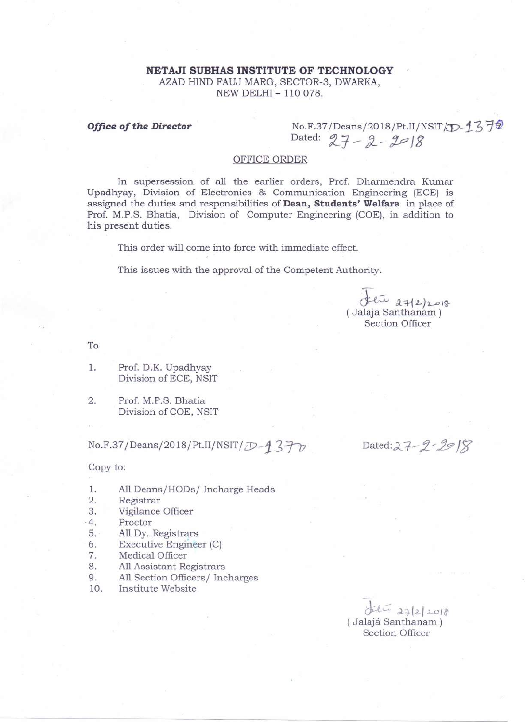AZAD HIND FAUJ MARG, SECTOR-3, DWARKA, NEW DELHI- 110078.

**Office of the Director** No.F.37/Deans/2018/Pt.II/NSIT<sub>/ID</sub>-1372  $Dated: 27 - 2 - 2018$ 

## OFFICE ORDER

In supersession of all the earlier orders, Prof. Dharmendra Kumar Upadhyay, Division of Electronics & Communication Engineering (ECE) is assigned the duties and responsibilities of **Dean, Students' Welfare** in place of Prof. M.P.S. Bhatia, Division of Computer Engineering (COE), in addition to his present duties.

This order will come into force with immediate effect.

This issues with the approval of the Competent Authority.

 $(F12)2010$ (Jalaja Santhanam) Section Officer

To

- 1. Prof. D.K. Upadhyay Division of ECE, NSIT
- 2. Prof. M.P.S. Bhatia Division of COE, NSIT

No.F.37/Deans/2018/Pt.II/NSIT/ *D*-1370 Dated:27-2-29 18

Copy to:

- 1. All Deans/HODs/ Incharge Heads
- 2. Registrar
- 3. Vigilance Officer
- -4. Proctor
- 5. All Dy. Registrars
- 6. Executive Engineer (C)
- 7. Medical Officer
- 8. AllAssistant Registrars
- 9. All Section Officers/ Incharges
- 10. Institute Website

 $84422018$ (.Jalaja Santhanam ) Section Officer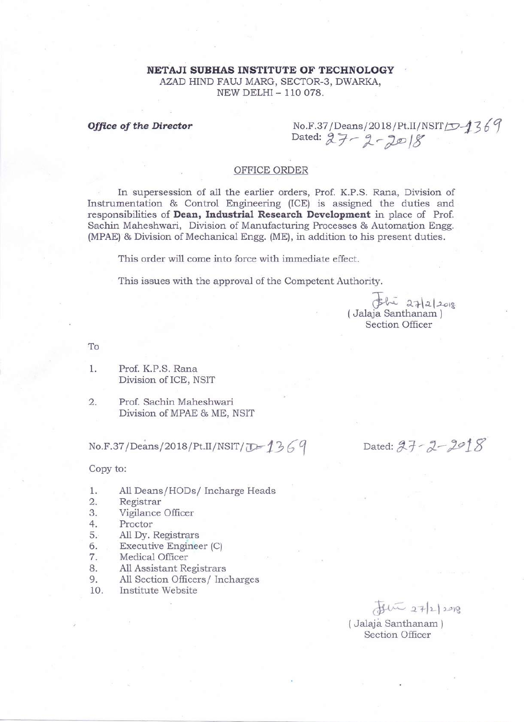AZAD HIND FAUJ MARG, SECTOR-3, DWARKA, NEW DELHI- 110078.

*Office of the Director* Mo.F.37/Deans/2018/Pt.II/NSIT*[*D-1369]<br>Dated: 27–2–2018

# OFFICE ORDER

In supersession of all the earlier orders, Prof. K.P.S. Rana, Division of Instrumentation & Control Engineering (ICE) is assigned the duties and responsibilities of **Dean, Industrial Research Development** in place of Prof. Sachin Maheshwari, Division of Manufacturing Processes & Automation Engg.  $(MPAE)$ & Division of Mechanical Engg.  $(ME)$ , in addition to his present duties.

This order will come into force with immediate effect.

This issues with the approval of the Competent Authority.

 $$\int 242|2018$ (Jalaja Santhanam ) Section Officer

To

1. Prof. K.P.S. Rana Division of ICE, NSIT

2. Prof. Sachin Maheshwari Division of MPAE& ME, NSIT

No.F.37/Deans/2018/Pt.II/NSIT/*D* 1369

Dated:  $27 - 2 - 2918$ 

Copy to:

- 1. All Deans/HODs/ Incharge Heads
- 2. Registrar
- 3. Vigilance Officer
- 4. Proctor
- 5. All Dy. Registrars
- 6. Executive Engineer (C)
- 7. Medical Officer
- 8. AllAssistant Registrars
- 9. All Section Officers/ Incharges
- 10. Institute Website

 $7.27|2)2018$ 

(.Jalaja Santhanam ) Section Officer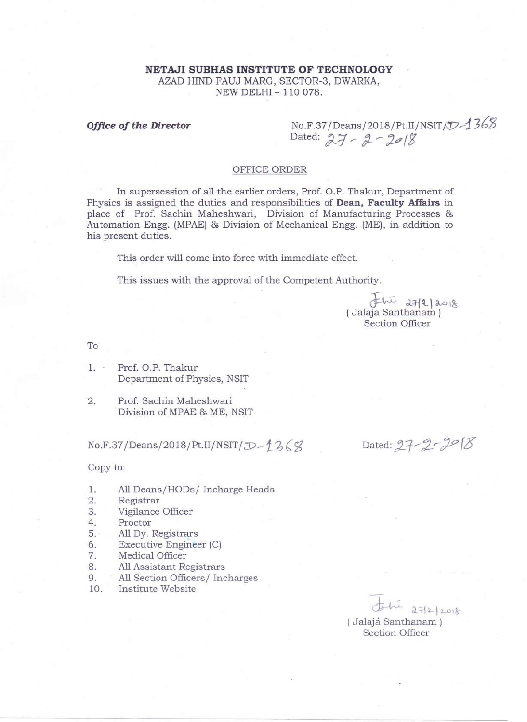AZAD HIND FAUJ MARG, SECTOR-3, DWARKA, NEW DELHI- 110078.

**Office of the Director** No.F.37/Deans/2018/Pt.II/NSIT */D*-1368 Dated: 27 - 2 - 2018

## OFFICE ORDER

In supersession of all the earlier orders, Prof. O.P. Thakur, Department of Physics is assigned the duties and responsibilities of **Dean, Faculty Affairs** in place of Prof. Sachin Maheshwari, Division of Manufacturing Processes & Automation Engg. (MPAE)& Division of Mechanical Engg. (ME), in addition to his present duties.

This order will come into force with immediate effect.

This issues with the approval of the Competent Authority.

 $F_{\text{tot}}$  affelaore (Jalaja Santhanam ) Section Officer

To

1. Prof. O.P. Thakur Department of Physics, NSIT

2. Prof. Sachin Maheshwari Division of MPAE& ME, NSIT

 $No.F.37/Deans/2018/Pt.II/NSIT/ $\mathcal{D}-f^2\mathcal{L}(\mathcal{G})$$ 

Copy to:

- 1. All Deans/HODs/ Incharge Heads
- 2. Registrar
- 3. Vigilance Officer
- 4. Proctor
- 5. All Dy. Registrars
- 6. Executive Engineer (C)
- 7. Medical Officer
- 8. AllAssistant Registrars
- 9. All Section Officers/ Incharges
- 10. Institute Website

Dated:  $27 - 2 - 2018$ 

 $5-h^{2}$   $27/2/2018$ (.Jalaja Santhanam ) Section Officer